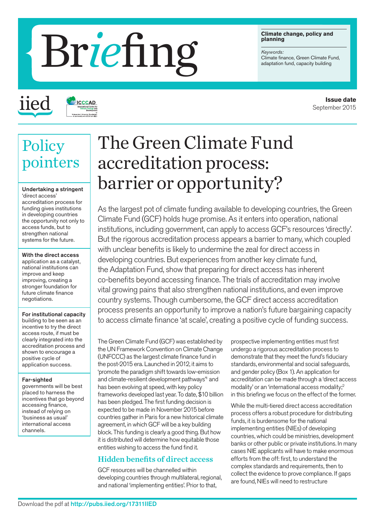#### **Climate change, policy and planning**

*Keywords:*

# Erefinate change, policy and<br>Climate finance, Green Climate Fundaptation fund, capacity building

iied

# **ICCCAD**

# **Policy** pointers

Undertaking a stringent 'direct access' accreditation process for funding gives institutions in developing countries the opportunity not only to access funds, but to strengthen national systems for the future.

With the direct access application as a catalyst, national institutions can improve and keep improving, creating a stronger foundation for future climate finance negotiations.

For institutional capacity building to be seen as an incentive to try the direct access route, if must be clearly integrated into the accreditation process and shown to encourage a positive cycle of application success.

#### Far-sighted

governments will be best placed to harness the incentives that go beyond accessing finance, instead of relying on 'business as usual' international access channels.

# The Green Climate Fund accreditation process: barrier or opportunity?

As the largest pot of climate funding available to developing countries, the Green Climate Fund (GCF) holds huge promise. As it enters into operation, national institutions, including government, can apply to access GCF's resources 'directly'. But the rigorous accreditation process appears a barrier to many, which coupled with unclear benefits is likely to undermine the zeal for direct access in developing countries. But experiences from another key climate fund, the Adaptation Fund, show that preparing for direct access has inherent co-benefits beyond accessing finance. The trials of accreditation may involve vital growing pains that also strengthen national institutions, and even improve country systems. Though cumbersome, the GCF direct access accreditation process presents an opportunity to improve a nation's future bargaining capacity to access climate finance 'at scale', creating a positive cycle of funding success.

The Green Climate Fund (GCF) was established by the UN Framework Convention on Climate Change (UNFCCC) as the largest climate finance fund in the post-2015 era. Launched in 2012, it aims to 'promote the paradigm shift towards low-emission and climate-resilient development pathways" and has been evolving at speed, with key policy frameworks developed last year. To date, \$10 billion has been pledged. The first funding decision is expected to be made in November 2015 before countries gather in Paris for a new historical climate agreement, in which GCF will be a key building block. This funding is clearly a good thing. But how it is distributed will determine how equitable those entities wishing to access the fund find it.

# Hidden benefits of direct access

GCF resources will be channelled within developing countries through multilateral, regional, and national 'implementing entities'. Prior to that,

prospective implementing entities must first undergo a rigorous accreditation process to demonstrate that they meet the fund's fiduciary standards, environmental and social safeguards, and gender policy (Box 1). An application for accreditation can be made through a 'direct access modality' or an 'international access modality;2 in this briefing we focus on the effect of the former.

While the multi-tiered direct access accreditation process offers a robust procedure for distributing funds, it is burdensome for the national implementing entities (NIEs) of developing countries, which could be ministries, development banks or other public or private institutions. In many cases NIE applicants will have to make enormous efforts from the off: first, to understand the complex standards and requirements, then to collect the evidence to prove compliance. If gaps are found, NIEs will need to restructure

**Issue date** September 2015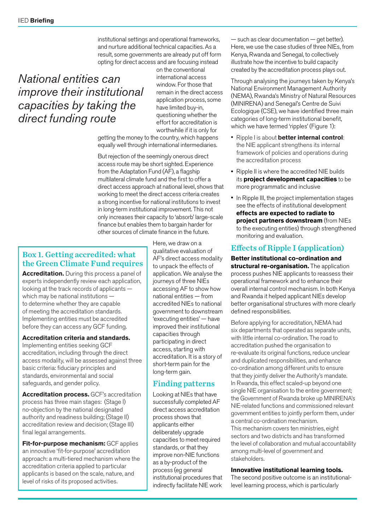institutional settings and operational frameworks, and nurture additional technical capacities. As a result, some governments are already put off form opting for direct access and are focusing instead

# *National entities can improve their institutional capacities by taking the direct funding route*

on the conventional international access window. For those that remain in the direct access application process, some have limited buy-in, questioning whether the effort for accreditation is worthwhile if it is only for

getting the money to the country, which happens equally well through international intermediaries.

But rejection of the seemingly onerous direct access route may be short sighted. Experience from the Adaptation Fund (AF), a flagship multilateral climate fund and the first to offer a direct access approach at national level, shows that working to meet the direct access criteria creates a strong incentive for national institutions to invest in long-term institutional improvement. This not only increases their capacity to 'absorb' large-scale finance but enables them to bargain harder for other sources of climate finance in the future.

# Box 1. Getting accredited: what the Green Climate Fund requires

**Accreditation.** During this process a panel of experts independently review each application, looking at the track records of applicants which may be national institutions to determine whether they are capable of meeting the accreditation standards. Implementing entities must be accredited before they can access any GCF funding.

#### **Accreditation criteria and standards.**

Implementing entities seeking GCF accreditation, including through the direct access modality, will be assessed against three basic criteria: fiduciary principles and standards, environmental and social safeguards, and gender policy.

**Accreditation process.** GCF's accreditation process has three main stages: (Stage I) no-objection by the national designated authority and readiness building; (Stage II) accreditation review and decision; (Stage III) final legal arrangements.

**Fit-for-purpose mechanism:** GCF applies an innovative 'fit-for-purpose' accreditation approach: a multi-tiered mechanism where the accreditation criteria applied to particular applicants is based on the scale, nature, and level of risks of its proposed activities.

Here, we draw on a qualitative evaluation of AF's direct access modality to unpack the effects of application. We analyse the journeys of three NIEs accessing AF to show how national entities — from accredited NIEs to national government to downstream 'executing entities' — have improved their institutional capacities through participating in direct access, starting with accreditation. It is a story of short-term pain for the long-term gain.

# Finding patterns

Looking at NIEs that have successfully completed AF direct access accreditation process shows that applicants either deliberately upgrade capacities to meet required standards, or that they improve non-NIE functions as a by-product of the process (eg general institutional procedures that indirectly facilitate NIE work

— such as clear documentation — get better). Here, we use the case studies of three NIEs, from Kenya, Rwanda and Senegal, to collectively illustrate how the incentive to build capacity created by the accreditation process plays out.

Through analysing the journeys taken by Kenya's [National Environment Management Authority](https://www.adaptation-fund.org/ie/national-environment-management-authority-nema/)  [\(NEMA\),](https://www.adaptation-fund.org/ie/national-environment-management-authority-nema/) Rwanda's [Ministry of Natural Resources](https://www.adaptation-fund.org/ie/ministry-of-natural-resources-minirena/)  [\(MINIRENA\)](https://www.adaptation-fund.org/ie/ministry-of-natural-resources-minirena/) and Senegal's Centre de Suivi Ecologique (CSE), we have identified three main categories of long-term institutional benefit, which we have termed 'ripples' (Figure 1):

- Ripple I is about **better internal control**: the NIE applicant strengthens its internal framework of policies and operations during the accreditation process
- Ripple II is where the accredited NIE builds its **project development capacities** to be more programmatic and inclusive
- In Ripple III, the project implementation stages see the effects of institutional development **effects are expected to radiate to project partners downstream** (from NIEs to the executing entities) through strengthened monitoring and evaluation.

# Effects of Ripple I (application)

**Better institutional co-ordination and structural re-organisation.** The application process pushes NIE applicants to reassess their operational framework and to enhance their overall internal control mechanism. In both Kenya and Rwanda it helped applicant NIEs develop better organisational structures with more clearly defined responsibilities.

Before applying for accreditation, NEMA had six departments that operated as separate units, with little internal co-ordination. The road to accreditation pushed the organisation to re-evaluate its original functions, reduce unclear and duplicated responsibilities, and enhance co-ordination among different units to ensure that they jointly deliver the Authority's mandate. In Rwanda, this effect scaled-up beyond one single NIE organisation to the entire government; the Government of Rwanda broke up [MINIRENA's](https://www.adaptation-fund.org/ie/ministry-of-natural-resources-minirena/)  [NIE-related functions](https://www.adaptation-fund.org/ie/ministry-of-natural-resources-minirena/) and commissioned relevant government entities to jointly perform them, under a central co-ordination mechanism. This mechanism covers ten ministries, eight sectors and two districts and has transformed the level of collaboration and mutual accountability among multi-level of government and stakeholders.

#### **Innovative institutional learning tools.**

The second positive outcome is an institutionallevel learning process, which is particularly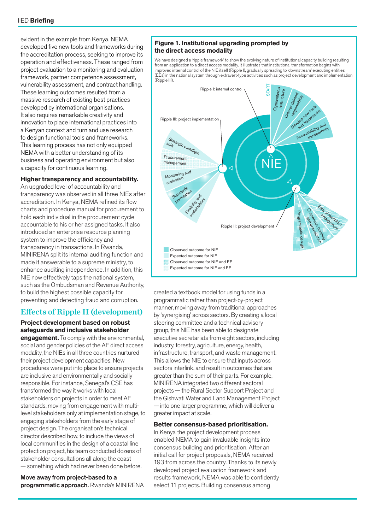evident in the example from Kenya. NEMA developed five new tools and frameworks during the accreditation process, seeking to improve its operation and effectiveness. These ranged from project evaluation to a monitoring and evaluation framework, partner competence assessment, vulnerability assessment, and contract handling. These learning outcomes resulted from a massive research of existing best practices developed by international organisations. It also requires remarkable creativity and innovation to place international practices into a Kenyan context and turn and use research to design functional tools and frameworks. This learning process has not only equipped NEMA with a better understanding of its business and operating environment but also a capacity for continuous learning.

#### **Higher transparency and accountability.**

An upgraded level of accountability and transparency was observed in all three NIEs after accreditation. In Kenya, NEMA refined its flow charts and procedure manual for procurement to hold each individual in the procurement cycle accountable to his or her assigned tasks. It also introduced an enterprise resource planning system to improve the efficiency and transparency in transactions. In Rwanda, MINIRENA split its internal auditing function and made it answerable to a supreme ministry, to enhance auditing independence. In addition, this NIE now effectively taps the national system, such as the Ombudsman and Revenue Authority, to build the highest possible capacity for preventing and detecting fraud and corruption.

## Effects of Ripple II (development)

**Project development based on robust safeguards and inclusive stakeholder** 

**engagement.** To comply with the environmental, social and gender policies of the AF direct access modality, the NIEs in all three countries nurtured their project development capacities. New procedures were put into place to ensure projects are inclusive and environmentally and socially responsible. For instance, Senegal's CSE has transformed the way it works with local stakeholders on projects in order to meet AF standards, moving from engagement with multilevel stakeholders only at implementation stage, to engaging stakeholders from the early stage of project design. The organisation's technical director described how, to include the views of local communities in the design of a coastal line protection project, his team conducted dozens of stakeholder consultations all along the coast — something which had never been done before.

Move away from project-based to a programmatic approach. Rwanda's [MINIRENA](https://www.adaptation-fund.org/ie/ministry-of-natural-resources-minirena/) 

#### **Figure 1. Institutional upgrading prompted by the direct access modality**

We have designed a 'ripple framework' to show the evolving nature of institutional capacity building resulting from an application to a direct access modality. It illustrates that institutional transformation begins with improved internal control of the NIE itself (Ripple I), gradually spreading to 'downstream' executing entities (EEs) in the national system through extravert-type activities such as project development and implementation (Ripple III).



created a textbook model for using funds in a programmatic rather than project-by-project manner, moving away from traditional approaches by 'synergising' across sectors. By creating a local steering committee and a technical advisory group, this NIE has been able to designate executive secretariats from eight sectors, including industry, forestry, agriculture, energy, health, infrastructure, transport, and waste management. This allows the NIE to ensure that inputs across sectors interlink, and result in outcomes that are greater than the sum of their parts. For example, MINIRENA integrated two different sectoral projects — the Rural Sector Support Project and the Gishwati Water and Land Management Project — into one larger programme, which will deliver a greater impact at scale.

#### **Better consensus-based prioritisation.**

In Kenya the project development process enabled NEMA to gain invaluable insights into consensus building and prioritisation. After an initial call for project proposals, NEMA received 193 from across the country. Thanks to its newly developed project evaluation framework and results framework, NEMA was able to confidently select 11 projects. Building consensus among